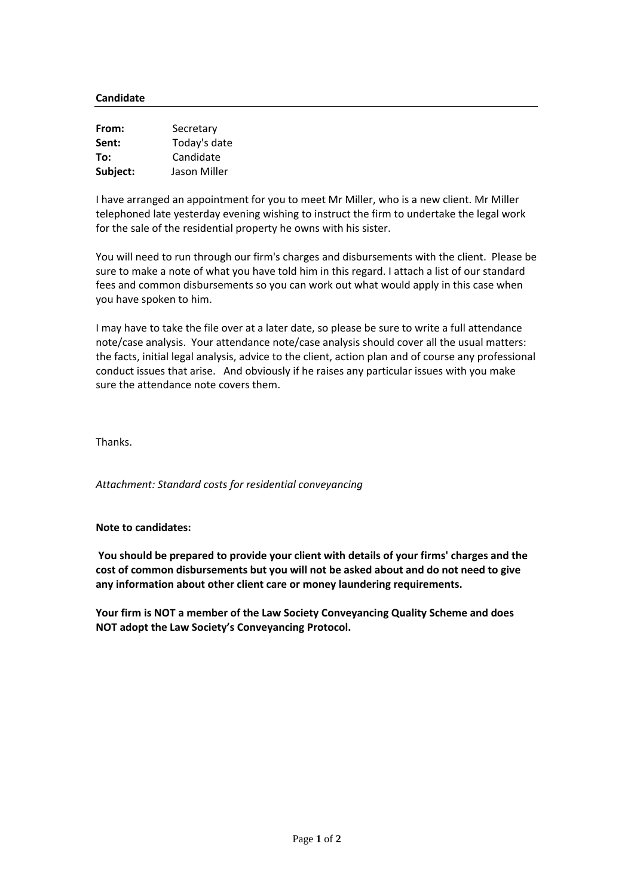## **Candidate**

| From:    | Secretary    |
|----------|--------------|
| Sent:    | Today's date |
| To:      | Candidate    |
| Subject: | Jason Miller |

I have arranged an appointment for you to meet Mr Miller, who is a new client. Mr Miller telephoned late yesterday evening wishing to instruct the firm to undertake the legal work for the sale of the residential property he owns with his sister.

You will need to run through our firm's charges and disbursements with the client. Please be sure to make a note of what you have told him in this regard. I attach a list of our standard fees and common disbursements so you can work out what would apply in this case when you have spoken to him.

I may have to take the file over at a later date, so please be sure to write a full attendance note/case analysis. Your attendance note/case analysis should cover all the usual matters: the facts, initial legal analysis, advice to the client, action plan and of course any professional conduct issues that arise. And obviously if he raises any particular issues with you make sure the attendance note covers them.

Thanks.

*Attachment: Standard costs for residential conveyancing*

**Note to candidates:**

**You should be prepared to provide your client with details of your firms' charges and the cost of common disbursements but you will not be asked about and do not need to give any information about other client care or money laundering requirements.**

**Your firm is NOT a member of the Law Society Conveyancing Quality Scheme and does NOT adopt the Law Society's Conveyancing Protocol.**